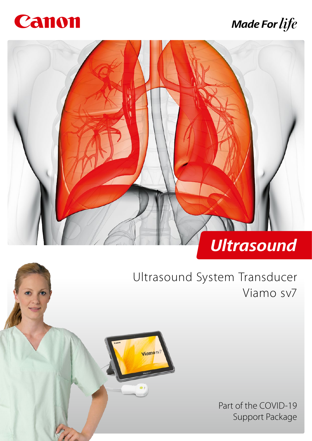

# **Made For life**



Viamo<sub>sv</sub>

# Ultrasound System Transducer Viamo sv7

Part of the COVID-19 Support Package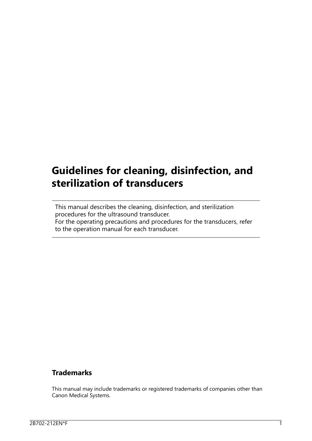## **Guidelines for cleaning, disinfection, and sterilization of transducers**

This manual describes the cleaning, disinfection, and sterilization procedures for the ultrasound transducer. For the operating precautions and procedures for the transducers, refer to the operation manual for each transducer.

#### **Trademarks**

This manual may include trademarks or registered trademarks of companies other than Canon Medical Systems.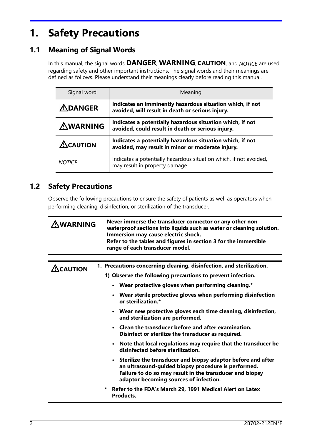## **1. Safety Precautions**

### **1.1 Meaning of Signal Words**

In this manual, the signal words **DANGER, WARNING, CAUTION**, and NOTICE are used regarding safety and other important instructions. The signal words and their meanings are defined as follows. Please understand their meanings clearly before reading this manual.

| Signal word         | Meaning                                                                                                        |
|---------------------|----------------------------------------------------------------------------------------------------------------|
| $\triangle$ DANGER  | Indicates an imminently hazardous situation which, if not<br>avoided, will result in death or serious injury.  |
| <b>AWARNING</b>     | Indicates a potentially hazardous situation which, if not<br>avoided, could result in death or serious injury. |
| $\triangle$ CAUTION | Indicates a potentially hazardous situation which, if not<br>avoided, may result in minor or moderate injury.  |
| <b>NOTICE</b>       | Indicates a potentially hazardous situation which, if not avoided,<br>may result in property damage.           |

### **1.2 Safety Precautions**

Observe the following precautions to ensure the safety of patients as well as operators when performing cleaning, disinfection, or sterilization of the transducer.

| <u>AWARNING</u>   | Never immerse the transducer connector or any other non-<br>waterproof sections into liquids such as water or cleaning solution.<br>Immersion may cause electric shock.<br>Refer to the tables and figures in section 3 for the immersible<br>range of each transducer model. |  |  |  |  |
|-------------------|-------------------------------------------------------------------------------------------------------------------------------------------------------------------------------------------------------------------------------------------------------------------------------|--|--|--|--|
|                   |                                                                                                                                                                                                                                                                               |  |  |  |  |
| $\Lambda$ CAUTION | 1. Precautions concerning cleaning, disinfection, and sterilization.                                                                                                                                                                                                          |  |  |  |  |
|                   | 1) Observe the following precautions to prevent infection.                                                                                                                                                                                                                    |  |  |  |  |
|                   | • Wear protective gloves when performing cleaning.*                                                                                                                                                                                                                           |  |  |  |  |
|                   | • Wear sterile protective gloves when performing disinfection<br>or sterilization.*                                                                                                                                                                                           |  |  |  |  |
|                   | • Wear new protective gloves each time cleaning, disinfection,<br>and sterilization are performed.                                                                                                                                                                            |  |  |  |  |
|                   | • Clean the transducer before and after examination.<br>Disinfect or sterilize the transducer as required.                                                                                                                                                                    |  |  |  |  |
|                   | • Note that local regulations may require that the transducer be<br>disinfected before sterilization.                                                                                                                                                                         |  |  |  |  |
|                   | • Sterilize the transducer and biopsy adaptor before and after<br>an ultrasound-guided biopsy procedure is performed.<br>Failure to do so may result in the transducer and biopsy<br>adaptor becoming sources of infection.                                                   |  |  |  |  |
|                   | Refer to the FDA's March 29, 1991 Medical Alert on Latex<br>*<br>Products.                                                                                                                                                                                                    |  |  |  |  |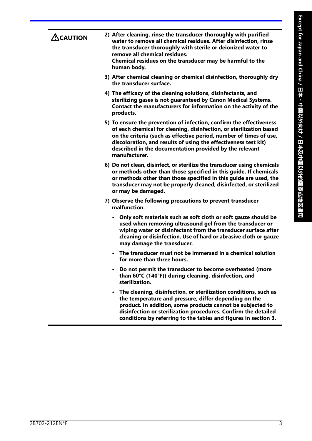| <u>A</u> CAUTION | 2) After cleaning, rinse the transducer thoroughly with purified<br>water to remove all chemical residues. After disinfection, rinse                                                                                                                                                                                                                            |
|------------------|-----------------------------------------------------------------------------------------------------------------------------------------------------------------------------------------------------------------------------------------------------------------------------------------------------------------------------------------------------------------|
|                  | the transducer thoroughly with sterile or deionized water to<br>remove all chemical residues.<br>Chemical residues on the transducer may be harmful to the<br>human body.                                                                                                                                                                                       |
|                  | 3) After chemical cleaning or chemical disinfection, thoroughly dry<br>the transducer surface.                                                                                                                                                                                                                                                                  |
|                  | 4) The efficacy of the cleaning solutions, disinfectants, and<br>sterilizing gases is not guaranteed by Canon Medical Systems.<br>Contact the manufacturers for information on the activity of the<br>products.                                                                                                                                                 |
|                  | 5) To ensure the prevention of infection, confirm the effectiveness<br>of each chemical for cleaning, disinfection, or sterilization based<br>on the criteria (such as effective period, number of times of use,<br>discoloration, and results of using the effectiveness test kit)<br>described in the documentation provided by the relevant<br>manufacturer. |
|                  | 6) Do not clean, disinfect, or sterilize the transducer using chemicals<br>or methods other than those specified in this guide. If chemicals<br>or methods other than those specified in this guide are used, the<br>transducer may not be properly cleaned, disinfected, or sterilized<br>or may be damaged.                                                   |
|                  | 7) Observe the following precautions to prevent transducer<br>malfunction.                                                                                                                                                                                                                                                                                      |
|                  | Only soft materials such as soft cloth or soft gauze should be<br>٠<br>used when removing ultrasound gel from the transducer or<br>wiping water or disinfectant from the transducer surface after<br>cleaning or disinfection. Use of hard or abrasive cloth or gauze<br>may damage the transducer.                                                             |
|                  | The transducer must not be immersed in a chemical solution<br>for more than three hours.                                                                                                                                                                                                                                                                        |
|                  | Do not permit the transducer to become overheated (more<br>$\bullet$<br>than 60°C (140°F)) during cleaning, disinfection, and<br>sterilization.                                                                                                                                                                                                                 |
|                  | The cleaning, disinfection, or sterilization conditions, such as<br>$\bullet$<br>the temperature and pressure, differ depending on the<br>product. In addition, some products cannot be subjected to<br>disinfection or sterilization procedures. Confirm the detailed<br>conditions by referring to the tables and figures in section 3.                       |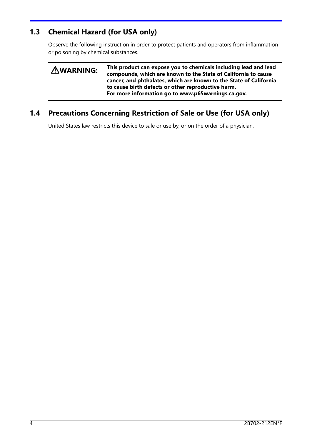### **1.3 Chemical Hazard (for USA only)**

Observe the following instruction in order to protect patients and operators from inflammation or poisoning by chemical substances.

| <b>AWARNING:</b> | This product can expose you to chemicals including lead and lead<br>compounds, which are known to the State of California to cause<br>cancer, and phthalates, which are known to the State of California<br>to cause birth defects or other reproductive harm.<br>For more information go to www.p65warnings.ca.gov. |
|------------------|----------------------------------------------------------------------------------------------------------------------------------------------------------------------------------------------------------------------------------------------------------------------------------------------------------------------|
|                  |                                                                                                                                                                                                                                                                                                                      |

## **1.4 Precautions Concerning Restriction of Sale or Use (for USA only)**

United States law restricts this device to sale or use by, or on the order of a physician.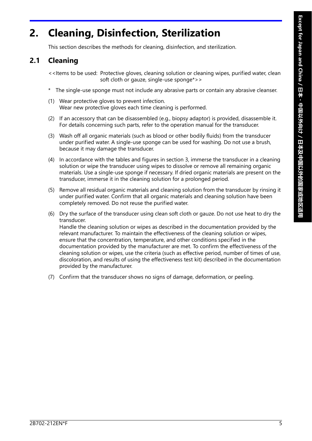## **2. Cleaning, Disinfection, Sterilization**

This section describes the methods for cleaning, disinfection, and sterilization.

## **2.1 Cleaning**

<<Items to be used: Protective gloves, cleaning solution or cleaning wipes, purified water, clean soft cloth or gauze, single-use sponge\*>>

- \* The single-use sponge must not include any abrasive parts or contain any abrasive cleanser.
- (1) Wear protective gloves to prevent infection. Wear new protective gloves each time cleaning is performed.
- (2) If an accessory that can be disassembled (e.g., biopsy adaptor) is provided, disassemble it. For details concerning such parts, refer to the operation manual for the transducer.
- (3) Wash off all organic materials (such as blood or other bodily fluids) from the transducer under purified water. A single-use sponge can be used for washing. Do not use a brush, because it may damage the transducer.
- (4) In accordance with the tables and figures in section 3, immerse the transducer in a cleaning solution or wipe the transducer using wipes to dissolve or remove all remaining organic materials. Use a single-use sponge if necessary. If dried organic materials are present on the transducer, immerse it in the cleaning solution for a prolonged period.
- (5) Remove all residual organic materials and cleaning solution from the transducer by rinsing it under purified water. Confirm that all organic materials and cleaning solution have been completely removed. Do not reuse the purified water.
- (6) Dry the surface of the transducer using clean soft cloth or gauze. Do not use heat to dry the transducer. Handle the cleaning solution or wipes as described in the documentation provided by the relevant manufacturer. To maintain the effectiveness of the cleaning solution or wipes, ensure that the concentration, temperature, and other conditions specified in the documentation provided by the manufacturer are met. To confirm the effectiveness of the cleaning solution or wipes, use the criteria (such as effective period, number of times of use, discoloration, and results of using the effectiveness test kit) described in the documentation provided by the manufacturer.
- (7) Confirm that the transducer shows no signs of damage, deformation, or peeling.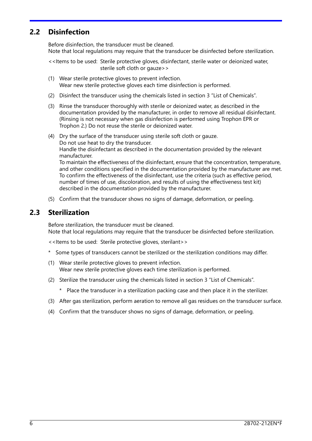#### **2.2 Disinfection**

Before disinfection, the transducer must be cleaned. Note that local regulations may require that the transducer be disinfected before sterilization.

<<Items to be used: Sterile protective gloves, disinfectant, sterile water or deionized water, sterile soft cloth or gauze>>

- (1) Wear sterile protective gloves to prevent infection. Wear new sterile protective gloves each time disinfection is performed.
- (2) Disinfect the transducer using the chemicals listed in section 3 "List of Chemicals".
- (3) Rinse the transducer thoroughly with sterile or deionized water, as described in the documentation provided by the manufacturer, in order to remove all residual disinfectant. (Rinsing is not necessary when gas disinfection is performed using Trophon EPR or Trophon 2.) Do not reuse the sterile or deionized water.
- (4) Dry the surface of the transducer using sterile soft cloth or gauze. Do not use heat to dry the transducer. Handle the disinfectant as described in the documentation provided by the relevant manufacturer. To maintain the effectiveness of the disinfectant, ensure that the concentration, temperature, and other conditions specified in the documentation provided by the manufacturer are met.

To confirm the effectiveness of the disinfectant, use the criteria (such as effective period, number of times of use, discoloration, and results of using the effectiveness test kit) described in the documentation provided by the manufacturer.

(5) Confirm that the transducer shows no signs of damage, deformation, or peeling.

#### **2.3 Sterilization**

Before sterilization, the transducer must be cleaned. Note that local regulations may require that the transducer be disinfected before sterilization.

<<Items to be used: Sterile protective gloves, sterilant>>

- \* Some types of transducers cannot be sterilized or the sterilization conditions may differ.
- (1) Wear sterile protective gloves to prevent infection. Wear new sterile protective gloves each time sterilization is performed.
- (2) Sterilize the transducer using the chemicals listed in section 3 "List of Chemicals".
	- \* Place the transducer in a sterilization packing case and then place it in the sterilizer.
- (3) After gas sterilization, perform aeration to remove all gas residues on the transducer surface.
- (4) Confirm that the transducer shows no signs of damage, deformation, or peeling.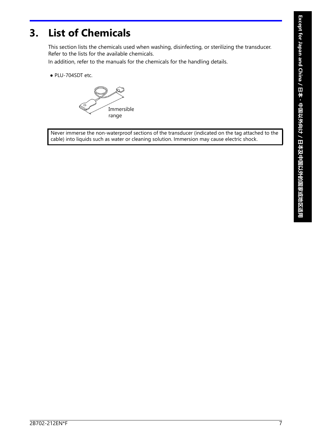## **3. List of Chemicals**

This section lists the chemicals used when washing, disinfecting, or sterilizing the transducer. Refer to the lists for the available chemicals.

In addition, refer to the manuals for the chemicals for the handling details.

● PLU-704SDT etc.

Immersible range

Never immerse the non-waterproof sections of the transducer (indicated on the tag attached to the cable) into liquids such as water or cleaning solution. Immersion may cause electric shock.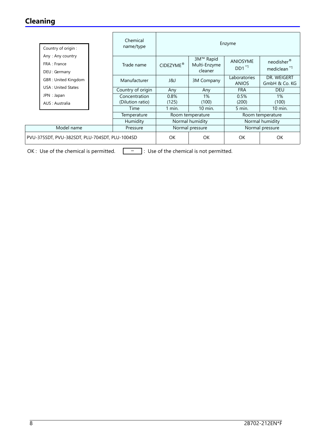## **Cleaning**

| Country of origin :                              | Chemical<br>name/type | Enzyme                |                                         |                              |                                                   |  |
|--------------------------------------------------|-----------------------|-----------------------|-----------------------------------------|------------------------------|---------------------------------------------------|--|
| Any: Any country<br>FRA : France<br>DEU: Germany | Trade name            | CIDEZYME <sup>®</sup> | 3M™ Rapid<br>Multi-Enzyme<br>cleaner    | <b>ANIOSYME</b><br>$DD1^*1$  | neodisher <sup>®</sup><br>mediclean <sup>*1</sup> |  |
| GBR: United Kingdom                              | Manufacturer          | ا 8لا                 | 3M Company                              | Laboratories<br><b>ANIOS</b> | DR. WEIGERT<br>GmbH & Co. KG                      |  |
| <b>USA: United States</b>                        | Country of origin     | Any                   | Any                                     | <b>FRA</b>                   | <b>DEU</b>                                        |  |
| JPN : Japan                                      | Concentration         | 0.8%                  | $1\%$                                   | 0.5%                         | 1%                                                |  |
| AUS: Australia                                   | (Dilution ratio)      | (125)                 | (100)                                   | (200)                        | (100)                                             |  |
|                                                  | Time                  | $1$ min.              | 10 min.                                 | $5$ min.                     | 10 min.                                           |  |
|                                                  | Temperature           |                       | Room temperature                        |                              | Room temperature                                  |  |
|                                                  | Humidity              |                       | Normal humidity                         |                              | Normal humidity                                   |  |
| Model name<br>Pressure                           |                       |                       | Normal pressure                         | Normal pressure              |                                                   |  |
| PVU-375SDT, PVU-382SDT, PLU-704SDT, PLU-1004SD   |                       | <b>OK</b>             | <b>OK</b>                               | <b>OK</b>                    | <b>OK</b>                                         |  |
| OK : Use of the chemical is permitted.           |                       |                       | : Use of the chemical is not permitted. |                              |                                                   |  |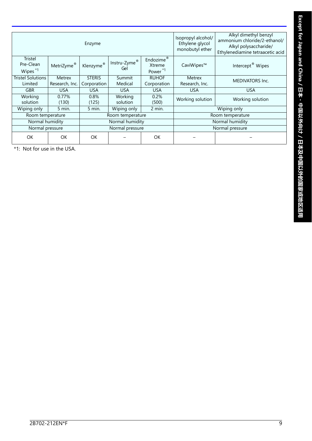| Enzyme                                             |                          |                              |                     |                                                        | Isopropyl alcohol/<br>Ethylene glycol<br>monobutyl ether | Alkyl dimethyl benzyl<br>ammonium chloride/2-ethanol/<br>Alkyl polysaccharide/<br>Ethylenediamine tetraacetic acid |
|----------------------------------------------------|--------------------------|------------------------------|---------------------|--------------------------------------------------------|----------------------------------------------------------|--------------------------------------------------------------------------------------------------------------------|
| <b>Tristel</b><br>Pre-Clean<br>Wipes <sup>*1</sup> | MetriZyme®               | Klenzyme®                    | Instru-Zyme®<br>Gel | Endozime <sup>®</sup><br>Xtreme<br>Power <sup>*1</sup> | CaviWipes™                                               | Intercept <sup>®</sup> Wipes                                                                                       |
| <b>Tristel Solutions</b><br>Limited                | Metrex<br>Research, Inc. | <b>STERIS</b><br>Corporation | Summit<br>Medical   | <b>RUHOF</b><br>Corporation                            | <b>Metrex</b><br>Research, Inc.                          | <b>MEDIVATORS Inc.</b>                                                                                             |
| <b>GBR</b>                                         | <b>USA</b>               | <b>USA</b>                   | <b>USA</b>          | <b>USA</b>                                             | <b>USA</b>                                               | <b>USA</b>                                                                                                         |
| Working<br>solution                                | 0.77%<br>(130)           | 0.8%<br>(125)                | Working<br>solution | 0.2%<br>(500)                                          | Working solution                                         | Working solution                                                                                                   |
| Wiping only                                        | 5 min.                   | $5$ min.                     | Wiping only         | 2 min.                                                 |                                                          | Wiping only                                                                                                        |
|                                                    | Room temperature         |                              | Room temperature    |                                                        |                                                          | Room temperature                                                                                                   |
| Normal humidity<br>Normal humidity                 |                          |                              |                     | Normal humidity                                        |                                                          |                                                                                                                    |
| Normal pressure<br>Normal pressure                 |                          |                              |                     |                                                        | Normal pressure                                          |                                                                                                                    |
| OK                                                 | OK                       | <b>OK</b>                    |                     | OK                                                     |                                                          |                                                                                                                    |

\*1: Not for use in the USA.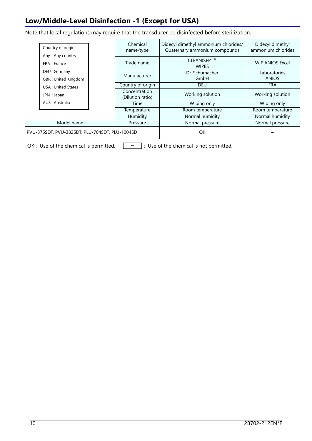## **Low/Middle-Level Disinfection -1 (Except for USA)**

Note that local regulations may require that the transducer be disinfected before sterilization.

|  | Country of origin :<br>Any: Any country          | Chemical<br>name/type             | Didecyl dimethyl ammonium chlorides/<br>Quaternary ammonium compounds | Didecyl dimethyl<br>ammonium chlorides |  |
|--|--------------------------------------------------|-----------------------------------|-----------------------------------------------------------------------|----------------------------------------|--|
|  | FRA : France                                     | Trade name                        | CLEANISEPT <sup>®</sup><br><b>WIPES</b>                               | <b>WIP'ANIOS Excel</b>                 |  |
|  | DEU : Germany                                    | Manufacturer                      | Dr. Schumacher                                                        | Laboratories                           |  |
|  | GBR: United Kingdom<br><b>USA: United States</b> |                                   | GmbH                                                                  | <b>ANIOS</b>                           |  |
|  |                                                  | Country of origin                 | <b>DEU</b>                                                            | <b>FRA</b>                             |  |
|  | JPN : Japan                                      | Concentration<br>(Dilution ratio) | Working solution                                                      | Working solution                       |  |
|  | AUS : Australia                                  | Time                              | Wiping only                                                           | Wiping only                            |  |
|  |                                                  | Temperature                       | Room temperature                                                      | Room temperature                       |  |
|  |                                                  | Humidity                          | Normal humidity                                                       | Normal humidity                        |  |
|  | Model name                                       | Pressure                          | Normal pressure                                                       | Normal pressure                        |  |
|  | PVU-375SDT, PVU-382SDT, PLU-704SDT, PLU-1004SD   |                                   | OK                                                                    |                                        |  |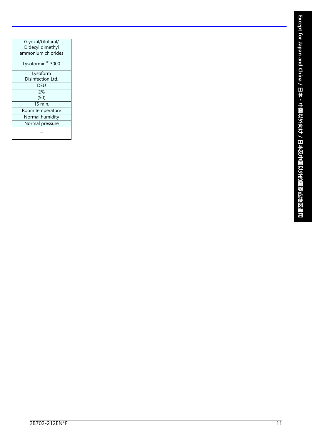| Glyoxal/Glutaral/            |
|------------------------------|
| Didecyl dimethyl             |
| ammonium chlorides           |
| Lysoformin <sup>®</sup> 3000 |
| Lysoform                     |
| Disinfection Ltd.            |
| DEU                          |
| 2%                           |
| (50)                         |
| $15 \text{ min}$             |
| Room temperature             |
| Normal humidity              |
| Normal pressure              |
|                              |
|                              |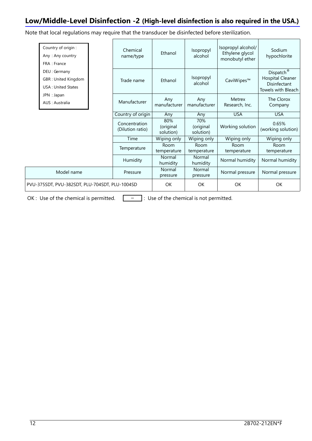### **Low/Middle-Level Disinfection -2 (High-level disinfection is also required in the USA.)**

Note that local regulations may require that the transducer be disinfected before sterilization.

|  | Country of origin:<br>Any: Any country<br>FRA : France                                             |  | Chemical<br>name/type             | Ethanol                       | Isopropyl<br>alcohol          | Isopropyl alcohol/<br>Ethylene glycol<br>monobutyl ether | Sodium<br>hypochlorite                                                                 |
|--|----------------------------------------------------------------------------------------------------|--|-----------------------------------|-------------------------------|-------------------------------|----------------------------------------------------------|----------------------------------------------------------------------------------------|
|  | DEU: Germany<br>GBR: United Kingdom<br><b>USA: United States</b><br>JPN : Japan<br>AUS : Australia |  | Trade name                        | Fthanol                       | Isopropyl<br>alcohol          | CaviWipes™                                               | Dispatch <sup>®</sup><br><b>Hospital Cleaner</b><br>Disinfectant<br>Towels with Bleach |
|  |                                                                                                    |  | Manufacturer                      | Any<br>manufacturer           | Any<br>manufacturer           | <b>Metrex</b><br>Research, Inc.                          | The Clorox<br>Company                                                                  |
|  |                                                                                                    |  | Country of origin                 | Any                           | Any                           | <b>USA</b>                                               | <b>USA</b>                                                                             |
|  |                                                                                                    |  | Concentration<br>(Dilution ratio) | 80%<br>(original<br>solution) | 70%<br>(original<br>solution) | Working solution                                         | 0.65%<br>(working solution)                                                            |
|  |                                                                                                    |  | Time                              | Wiping only                   | Wiping only                   | Wiping only                                              | Wiping only                                                                            |
|  |                                                                                                    |  | Temperature                       | Room<br>temperature           | Room<br>temperature           | Room<br>temperature                                      | Room<br>temperature                                                                    |
|  |                                                                                                    |  | Humidity                          | Normal<br>humidity            | Normal<br>humidity            | Normal humidity                                          | Normal humidity                                                                        |
|  | Model name                                                                                         |  | Pressure                          | Normal<br>pressure            | <b>Normal</b><br>pressure     | Normal pressure                                          | Normal pressure                                                                        |
|  | PVU-375SDT, PVU-382SDT, PLU-704SDT, PLU-1004SD                                                     |  |                                   | OK                            | OK                            | OK                                                       | OK                                                                                     |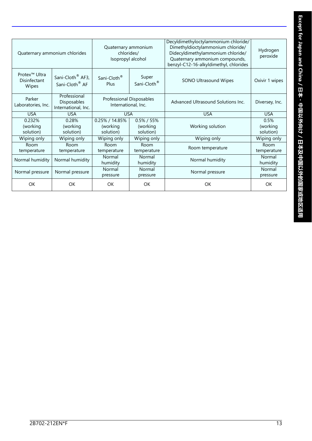| Quaternary ammonium chlorides                      |                                                            | Quaternary ammonium<br>chlorides/<br>Isopropyl alcohol                            |                     | Decyldimethyloctylammonium chloride/<br>Dimethyldioctylammonium chloride/<br>Didecyldimethylammonium chloride/<br>Quaternary ammonium compounds,<br>benzyl-C12-16-alkyldimethyl, chlorides | Hydrogen<br>peroxide          |
|----------------------------------------------------|------------------------------------------------------------|-----------------------------------------------------------------------------------|---------------------|--------------------------------------------------------------------------------------------------------------------------------------------------------------------------------------------|-------------------------------|
| Protex <sup>™</sup> Ultra<br>Disinfectant<br>Wipes | Sani-Cloth <sup>®</sup> AF3,<br>Sani-Cloth <sup>®</sup> AF | Super<br>Sani-Cloth <sup>®</sup><br>Sani-Cloth <sup>®</sup><br>Plus               |                     | SONO Ultrasound Wipes                                                                                                                                                                      | Oxivir 1 wipes                |
| Parker<br>Laboratories, Inc.                       | Professional<br>Disposables<br>International, Inc.         | Professional Disposables<br>International, Inc.                                   |                     | Advanced Ultrasound Solutions Inc.                                                                                                                                                         | Diversey, Inc.                |
| <b>USA</b>                                         | <b>USA</b>                                                 | <b>USA</b>                                                                        |                     | <b>USA</b>                                                                                                                                                                                 | <b>USA</b>                    |
| 0.232%<br>(working<br>solution)                    | 0.28%<br>(working<br>solution)                             | 0.25% / 14.85%<br>$0.5\%$ / 55%<br>(working<br>(working<br>solution)<br>solution) |                     | Working solution                                                                                                                                                                           | 0.5%<br>(working<br>solution) |
| Wiping only                                        | Wiping only                                                | Wiping only                                                                       | Wiping only         | Wiping only                                                                                                                                                                                | Wiping only                   |
| Room<br>temperature                                | Room<br>temperature                                        | Room<br>temperature                                                               | Room<br>temperature | Room temperature                                                                                                                                                                           | Room<br>temperature           |
| Normal humidity                                    | Normal humidity                                            | Normal<br>Normal<br>humidity<br>humidity                                          |                     | Normal humidity                                                                                                                                                                            | Normal<br>humidity            |
| Normal pressure                                    | Normal pressure                                            | Normal<br>Normal<br>pressure<br>pressure                                          |                     | Normal pressure                                                                                                                                                                            | Normal<br>pressure            |
| OK                                                 | OK                                                         | OK                                                                                | <b>OK</b>           | OK                                                                                                                                                                                         | OK                            |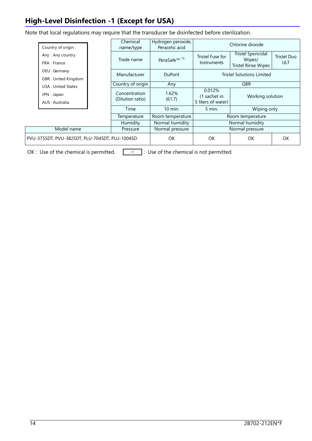## **High-Level Disinfection -1 (Except for USA)**

Note that local regulations may require that the transducer be disinfected before sterilization.

| Country of origin :                            | Chemical<br>name/type             | Hydrogen peroxide,<br>Peracetic acid | Chlorine dioxide                             |                                                                   |                           |  |
|------------------------------------------------|-----------------------------------|--------------------------------------|----------------------------------------------|-------------------------------------------------------------------|---------------------------|--|
| Any: Any country<br>FRA : France               | Trade name                        | PeraSafe <sup>™ *1</sup>             | Tristel Fuse for<br>Instruments              | <b>Tristel Sporicidal</b><br>Wipes/<br><b>Tristel Rinse Wipes</b> | <b>Tristel Duo</b><br>ULT |  |
| DEU: Germany<br>GBR: United Kingdom            | Manufacturer                      | <b>DuPont</b>                        | <b>Tristel Solutions Limited</b>             |                                                                   |                           |  |
| <b>USA: United States</b>                      | Country of origin                 | Any                                  | <b>GBR</b>                                   |                                                                   |                           |  |
| JPN : Japan<br>AUS : Australia                 | Concentration<br>(Dilution ratio) | 1.62%<br>(61.7)                      | 0.012%<br>(1 sachet in<br>5 liters of water) | Working solution                                                  |                           |  |
|                                                | Time                              | 10 min.                              | $5$ min.<br>Wiping only                      |                                                                   |                           |  |
|                                                | Temperature                       | Room temperature                     | Room temperature                             |                                                                   |                           |  |
|                                                | Humidity                          | Normal humidity                      | Normal humidity                              |                                                                   |                           |  |
| Model name                                     | Pressure                          |                                      |                                              | Normal pressure                                                   |                           |  |
| PVU-375SDT, PVU-382SDT, PLU-704SDT, PLU-1004SD |                                   | OK.                                  | OK                                           | OK.                                                               | OK                        |  |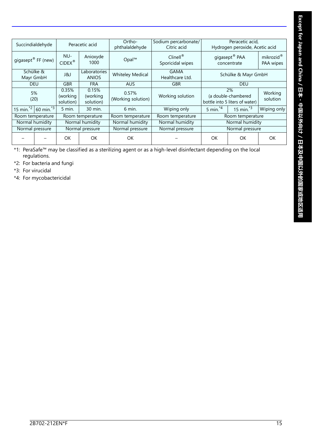|           | Succindialdehyde<br>Peracetic acid                          |                                | Ortho-<br>phthalaldehyde       | Sodium percarbonate/<br>Citric acid |                                 | Peracetic acid,<br>Hydrogen peroxide, Acetic acid           |                  |                                    |
|-----------|-------------------------------------------------------------|--------------------------------|--------------------------------|-------------------------------------|---------------------------------|-------------------------------------------------------------|------------------|------------------------------------|
|           | gigasept <sup>®</sup> FF (new)                              | NU-<br>$CIDEX^{\circledast}$   | Anioxyde<br>1000               | Opal™                               | $C$ linell®<br>Sporicidal wipes | gigasept <sup>®</sup> PAA<br>concentrate                    |                  | mikrozid <sup>®</sup><br>PAA wipes |
| Mayr GmbH | Schülke &                                                   | J&J                            | Laboratories<br><b>ANIOS</b>   | <b>Whiteley Medical</b>             | <b>GAMA</b><br>Healthcare Ltd.  | Schülke & Mayr GmbH                                         |                  |                                    |
|           | <b>DEU</b>                                                  | <b>GBR</b>                     | <b>FRA</b>                     | <b>AUS</b>                          | <b>GBR</b>                      | <b>DEU</b>                                                  |                  |                                    |
|           | 5%<br>(20)                                                  | 0.35%<br>(working<br>solution) | 0.15%<br>(working<br>solution) | 0.57%<br>(Working solution)         | Working solution                | 2%<br>(a double-chambered<br>bottle into 5 liters of water) |                  | Working<br>solution                |
|           | 15 min. <sup><math>*</math>2</sup> 60 min. $*$ <sup>3</sup> | $5$ min.                       | 30 min.                        | $6$ min.                            | Wiping only                     | 5 min. $4$                                                  | 15 min. $^{*3}$  | Wiping only                        |
|           | Room temperature                                            |                                | Room temperature               | Room temperature                    | Room temperature                |                                                             | Room temperature |                                    |
|           | Normal humidity                                             |                                | Normal humidity                | Normal humidity                     | Normal humidity                 |                                                             | Normal humidity  |                                    |
|           | Normal pressure                                             |                                | Normal pressure                | Normal pressure                     | Normal pressure                 |                                                             | Normal pressure  |                                    |
|           |                                                             | <b>OK</b>                      | OK                             | <b>OK</b>                           |                                 | OK                                                          | OK.              | <b>OK</b>                          |

\*1: PeraSafe™ may be classified as a sterilizing agent or as a high-level disinfectant depending on the local regulations.

\*2: For bacteria and fungi

\*3: For virucidal

\*4: For mycobactericidal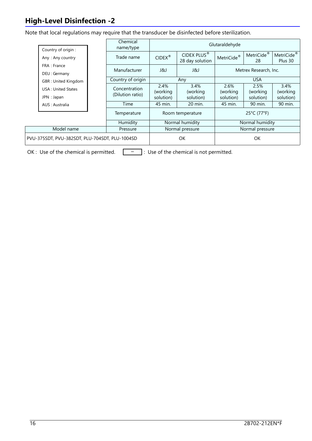## **High-Level Disinfection -2**

Note that local regulations may require that the transducer be disinfected before sterilization.

| Country of origin :                            | Chemical<br>name/type             | Glutaraldehyde                 |                                            |                               |                                |                                   |
|------------------------------------------------|-----------------------------------|--------------------------------|--------------------------------------------|-------------------------------|--------------------------------|-----------------------------------|
| Any: Any country                               | Trade name                        | $CIDEX^*$                      | CIDEX PLUS <sup>®</sup><br>28 day solution | MetriCide <sup>®</sup>        | MetriCide <sup>®</sup><br>28   | MetriCide <sup>®</sup><br>Plus 30 |
| FRA : France<br>DEU: Germany                   | Manufacturer                      | ا لكا ل                        | J&J                                        | Metrex Research, Inc.         |                                |                                   |
| GBR: United Kingdom                            | Country of origin                 | Any                            |                                            | <b>USA</b>                    |                                |                                   |
| <b>USA: United States</b><br>JPN : Japan       | Concentration<br>(Dilution ratio) | 2.4%<br>(working)<br>solution) | 3.4%<br>(working)<br>solution)             | 2.6%<br>(working<br>solution) | 2.5%<br>(working)<br>solution) | 3.4%<br>(working<br>solution)     |
| AUS : Australia                                | Time                              | 45 min.                        | 20 min.                                    | 45 min.                       | 90 min.                        | 90 min.                           |
|                                                | Temperature                       | Room temperature               |                                            | 25°C (77°F)                   |                                |                                   |
|                                                | Humidity                          | Normal humidity                |                                            | Normal humidity               |                                |                                   |
| Model name                                     | Pressure                          | Normal pressure                |                                            | Normal pressure               |                                |                                   |
| PVU-375SDT, PVU-382SDT, PLU-704SDT, PLU-1004SD |                                   | OK                             |                                            | OK                            |                                |                                   |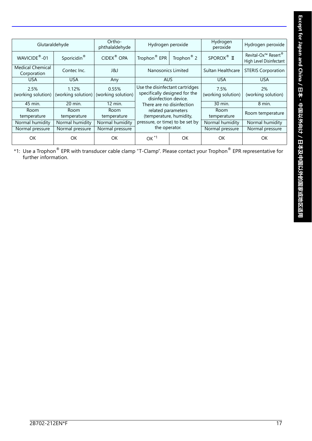| Except for Japan and China / 日本 · 中国以外向け / 日本及中国以外的国家或地区适用 |
|------------------------------------------------------------|
|                                                            |
|                                                            |

|                                        | Glutaraldehyde                                 |                             | Hydrogen peroxide                                                                        |                        | Hydrogen<br>peroxide       | Hydrogen peroxide                                                      |
|----------------------------------------|------------------------------------------------|-----------------------------|------------------------------------------------------------------------------------------|------------------------|----------------------------|------------------------------------------------------------------------|
| WAVICIDE <sup>®</sup> -01              | Sporicidin <sup>®</sup>                        | CIDEX <sup>®</sup> OPA      | Trophon <sup>®</sup> EPR                                                                 | Trophon <sup>®</sup> 2 | SPOROX <sup>®</sup> II     | Revital-Ox <sup>™</sup> Resert <sup>®</sup><br>High Level Disinfectant |
| <b>Medical Chemical</b><br>Corporation | Contec Inc.                                    | ر 18                        | Nanosonics Limited                                                                       |                        | Sultan Healthcare          | <b>STERIS Corporation</b>                                              |
| <b>USA</b>                             | <b>USA</b>                                     | Any                         | AUS.                                                                                     |                        | <b>USA</b>                 | <b>USA</b>                                                             |
| 2.5%                                   | 1.12%<br>(working solution) (working solution) | 0.55%<br>(working solution) | Use the disinfectant cartridges<br>specifically designed for the<br>disinfection device. |                        | 7.5%<br>(working solution) | 2%<br>(working solution)                                               |
| 45 min.                                | 20 min.                                        | 12 min.                     | There are no disinfection                                                                |                        | 30 min.                    | 8 min.                                                                 |
| Room<br>temperature                    | <b>Room</b><br>temperature                     | <b>Room</b><br>temperature  | related parameters<br>(temperature, humidity,                                            |                        | Room<br>temperature        | Room temperature                                                       |
| Normal humidity                        | Normal humidity                                | Normal humidity             | pressure, or time) to be set by                                                          |                        | Normal humidity            | Normal humidity                                                        |
| Normal pressure                        | Normal pressure                                | Normal pressure             | the operator.                                                                            |                        | Normal pressure            | Normal pressure                                                        |
| OK                                     | OK                                             | <b>OK</b>                   | $OK^{\star 1}$                                                                           | OK                     | OK                         | OK                                                                     |

\*1: Use a Trophon<sup>®</sup> EPR with transducer cable clamp "T-Clamp". Please contact your Trophon<sup>®</sup> EPR representative for further information.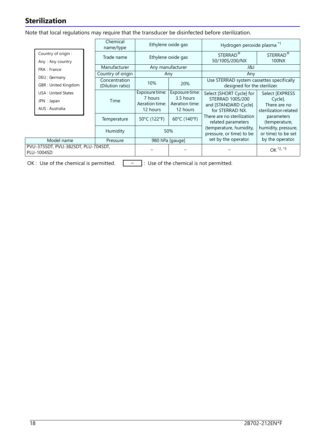## **Sterilization**

Note that local regulations may require that the transducer be disinfected before sterilization.

|                                                             | Chemical<br>name/type             |                                                         | Ethylene oxide gas                                        | Hydrogen peroxide plasma <sup>*1</sup>                                                  |                                                                     |  |
|-------------------------------------------------------------|-----------------------------------|---------------------------------------------------------|-----------------------------------------------------------|-----------------------------------------------------------------------------------------|---------------------------------------------------------------------|--|
| Country of origin :<br>Any: Any country                     | Trade name                        | Ethylene oxide gas                                      |                                                           | STERRAD <sup>®</sup><br>50/100S/200/NX                                                  | STERRAD <sup>®</sup><br>100NX                                       |  |
| FRA : France                                                | Manufacturer                      | Any manufacturer                                        |                                                           | ر 18                                                                                    |                                                                     |  |
| DEU: Germany                                                | Country of origin                 | Any                                                     |                                                           | Any                                                                                     |                                                                     |  |
| GBR: United Kingdom                                         | Concentration<br>(Dilution ratio) | 10%                                                     | 20%                                                       | Use STERRAD system cassettes specifically<br>designed for the sterilizer.               |                                                                     |  |
| <b>USA: United States</b><br>JPN : Japan<br>AUS : Australia | Time                              | Exposure time:<br>7 hours<br>Aeration time:<br>12 hours | Exposure time:<br>3.5 hours<br>Aeration time:<br>12 hours | Select [SHORT Cycle] for<br>STERRAD 100S/200<br>and [STANDARD Cycle]<br>for STERRAD NX. | Select [EXPRESS<br>Cycle].<br>There are no<br>sterilization related |  |
|                                                             | Temperature                       | 50°C (122°F)                                            | 60°C (140°F)                                              | There are no sterilization<br>related parameters                                        | parameters<br>(temperature,                                         |  |
|                                                             | Humidity                          | 50%                                                     |                                                           | (temperature, humidity,<br>pressure, or time) to be                                     | humidity, pressure,<br>or time) to be set                           |  |
| Model name                                                  | 980 hPa [gauge]<br>Pressure       |                                                         |                                                           | set by the operator.                                                                    | by the operator.                                                    |  |
| PVU-375SDT, PVU-382SDT, PLU-704SDT,<br><b>PLU-1004SD</b>    |                                   |                                                         |                                                           |                                                                                         | OK $*2, *3$                                                         |  |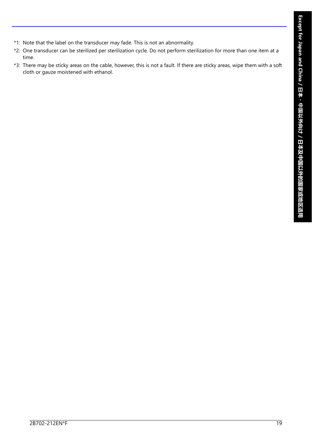- \*1: Note that the label on the transducer may fade. This is not an abnormality.
- \*2: One transducer can be sterilized per sterilization cycle. Do not perform sterilization for more than one item at a time.
- \*3: There may be sticky areas on the cable, however, this is not a fault. If there are sticky areas, wipe them with a soft cloth or gauze moistened with ethanol.